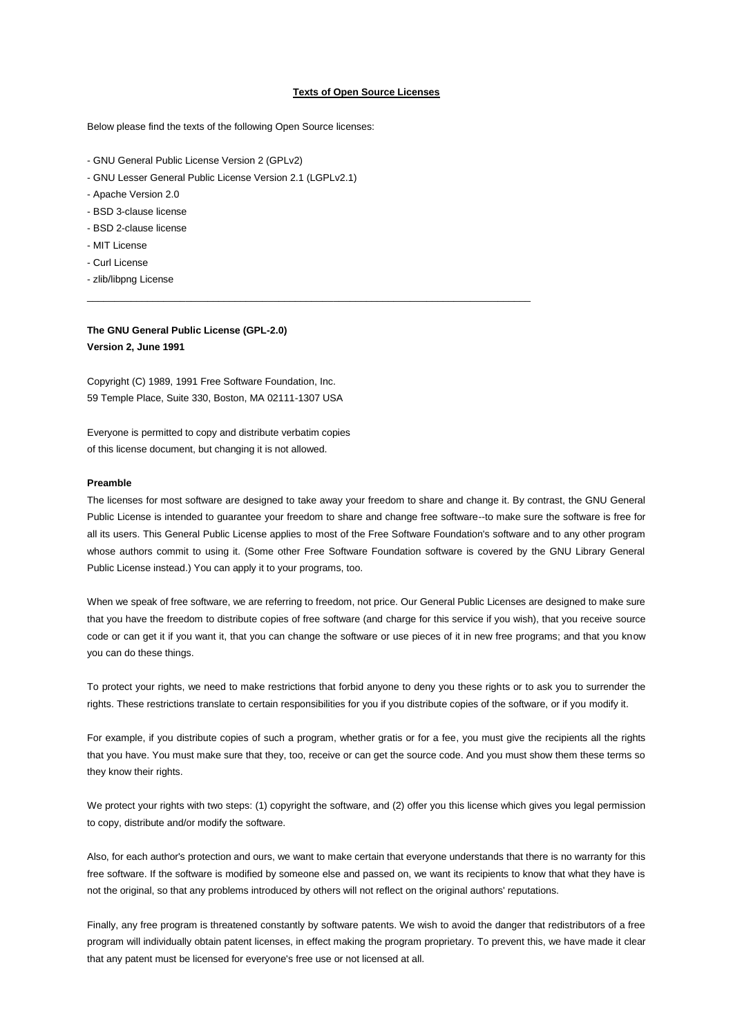#### **Texts of Open Source Licenses**

\_\_\_\_\_\_\_\_\_\_\_\_\_\_\_\_\_\_\_\_\_\_\_\_\_\_\_\_\_\_\_\_\_\_\_\_\_\_\_\_\_\_\_\_\_\_\_\_\_\_\_\_\_\_\_\_\_\_\_\_\_\_\_\_\_\_\_\_\_\_\_\_\_\_\_\_\_\_\_\_\_

Below please find the texts of the following Open Source licenses:

- GNU General Public License Version 2 (GPLv2)
- GNU Lesser General Public License Version 2.1 (LGPLv2.1)
- Apache Version 2.0
- BSD 3-clause license
- BSD 2-clause license
- MIT License
- Curl License
- zlib/libpng License

# **The GNU General Public License (GPL-2.0) Version 2, June 1991**

Copyright (C) 1989, 1991 Free Software Foundation, Inc. 59 Temple Place, Suite 330, Boston, MA 02111-1307 USA

Everyone is permitted to copy and distribute verbatim copies of this license document, but changing it is not allowed.

#### **Preamble**

The licenses for most software are designed to take away your freedom to share and change it. By contrast, the GNU General Public License is intended to guarantee your freedom to share and change free software--to make sure the software is free for all its users. This General Public License applies to most of the Free Software Foundation's software and to any other program whose authors commit to using it. (Some other Free Software Foundation software is covered by the GNU Library General Public License instead.) You can apply it to your programs, too.

When we speak of free software, we are referring to freedom, not price. Our General Public Licenses are designed to make sure that you have the freedom to distribute copies of free software (and charge for this service if you wish), that you receive source code or can get it if you want it, that you can change the software or use pieces of it in new free programs; and that you know you can do these things.

To protect your rights, we need to make restrictions that forbid anyone to deny you these rights or to ask you to surrender the rights. These restrictions translate to certain responsibilities for you if you distribute copies of the software, or if you modify it.

For example, if you distribute copies of such a program, whether gratis or for a fee, you must give the recipients all the rights that you have. You must make sure that they, too, receive or can get the source code. And you must show them these terms so they know their rights.

We protect your rights with two steps: (1) copyright the software, and (2) offer you this license which gives you legal permission to copy, distribute and/or modify the software.

Also, for each author's protection and ours, we want to make certain that everyone understands that there is no warranty for this free software. If the software is modified by someone else and passed on, we want its recipients to know that what they have is not the original, so that any problems introduced by others will not reflect on the original authors' reputations.

Finally, any free program is threatened constantly by software patents. We wish to avoid the danger that redistributors of a free program will individually obtain patent licenses, in effect making the program proprietary. To prevent this, we have made it clear that any patent must be licensed for everyone's free use or not licensed at all.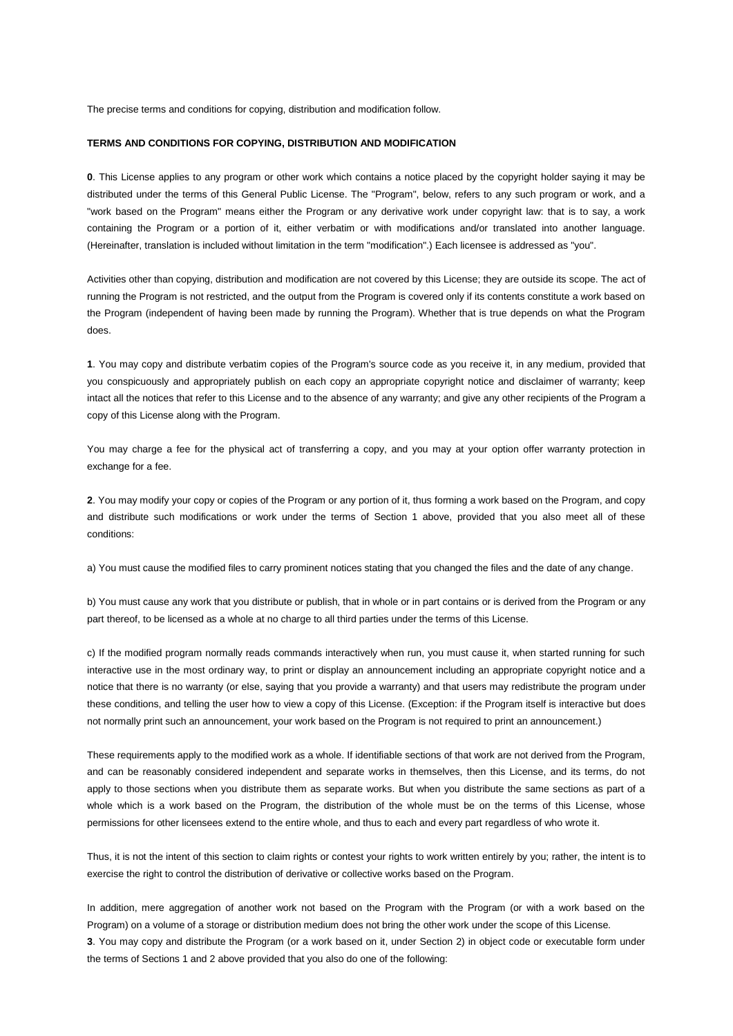The precise terms and conditions for copying, distribution and modification follow.

# **TERMS AND CONDITIONS FOR COPYING, DISTRIBUTION AND MODIFICATION**

**0**. This License applies to any program or other work which contains a notice placed by the copyright holder saying it may be distributed under the terms of this General Public License. The "Program", below, refers to any such program or work, and a "work based on the Program" means either the Program or any derivative work under copyright law: that is to say, a work containing the Program or a portion of it, either verbatim or with modifications and/or translated into another language. (Hereinafter, translation is included without limitation in the term "modification".) Each licensee is addressed as "you".

Activities other than copying, distribution and modification are not covered by this License; they are outside its scope. The act of running the Program is not restricted, and the output from the Program is covered only if its contents constitute a work based on the Program (independent of having been made by running the Program). Whether that is true depends on what the Program does.

**1**. You may copy and distribute verbatim copies of the Program's source code as you receive it, in any medium, provided that you conspicuously and appropriately publish on each copy an appropriate copyright notice and disclaimer of warranty; keep intact all the notices that refer to this License and to the absence of any warranty; and give any other recipients of the Program a copy of this License along with the Program.

You may charge a fee for the physical act of transferring a copy, and you may at your option offer warranty protection in exchange for a fee.

**2**. You may modify your copy or copies of the Program or any portion of it, thus forming a work based on the Program, and copy and distribute such modifications or work under the terms of Section 1 above, provided that you also meet all of these conditions:

a) You must cause the modified files to carry prominent notices stating that you changed the files and the date of any change.

b) You must cause any work that you distribute or publish, that in whole or in part contains or is derived from the Program or any part thereof, to be licensed as a whole at no charge to all third parties under the terms of this License.

c) If the modified program normally reads commands interactively when run, you must cause it, when started running for such interactive use in the most ordinary way, to print or display an announcement including an appropriate copyright notice and a notice that there is no warranty (or else, saying that you provide a warranty) and that users may redistribute the program under these conditions, and telling the user how to view a copy of this License. (Exception: if the Program itself is interactive but does not normally print such an announcement, your work based on the Program is not required to print an announcement.)

These requirements apply to the modified work as a whole. If identifiable sections of that work are not derived from the Program, and can be reasonably considered independent and separate works in themselves, then this License, and its terms, do not apply to those sections when you distribute them as separate works. But when you distribute the same sections as part of a whole which is a work based on the Program, the distribution of the whole must be on the terms of this License, whose permissions for other licensees extend to the entire whole, and thus to each and every part regardless of who wrote it.

Thus, it is not the intent of this section to claim rights or contest your rights to work written entirely by you; rather, the intent is to exercise the right to control the distribution of derivative or collective works based on the Program.

In addition, mere aggregation of another work not based on the Program with the Program (or with a work based on the Program) on a volume of a storage or distribution medium does not bring the other work under the scope of this License. **3**. You may copy and distribute the Program (or a work based on it, under Section 2) in object code or executable form under the terms of Sections 1 and 2 above provided that you also do one of the following: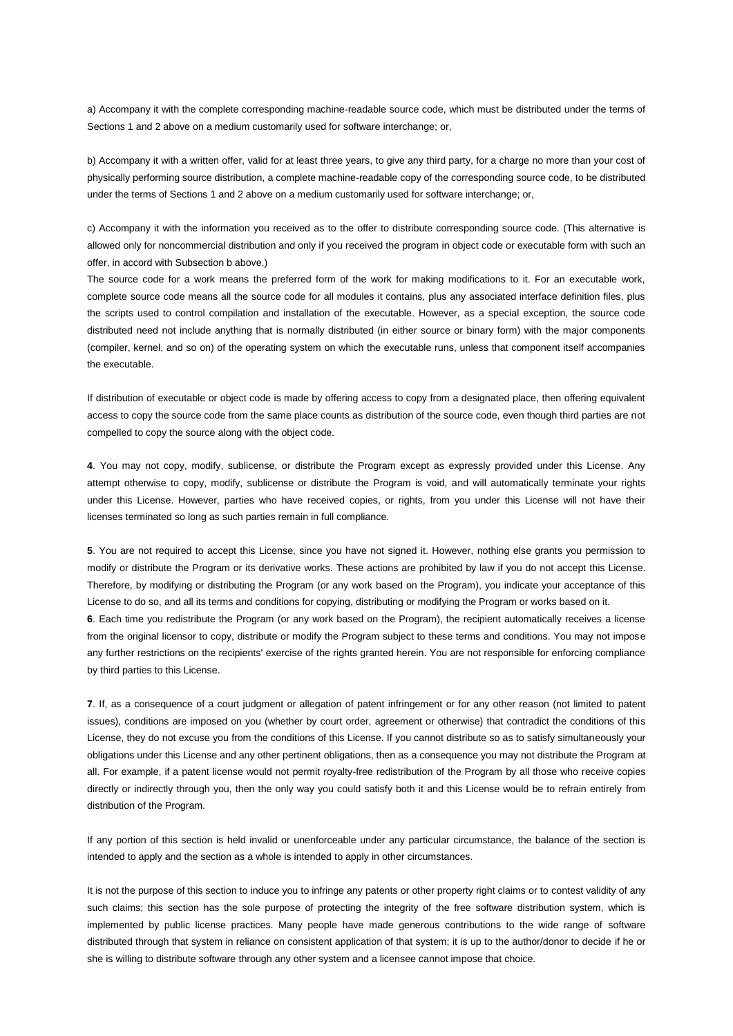a) Accompany it with the complete corresponding machine-readable source code, which must be distributed under the terms of Sections 1 and 2 above on a medium customarily used for software interchange; or,

b) Accompany it with a written offer, valid for at least three years, to give any third party, for a charge no more than your cost of physically performing source distribution, a complete machine-readable copy of the corresponding source code, to be distributed under the terms of Sections 1 and 2 above on a medium customarily used for software interchange; or,

c) Accompany it with the information you received as to the offer to distribute corresponding source code. (This alternative is allowed only for noncommercial distribution and only if you received the program in object code or executable form with such an offer, in accord with Subsection b above.)

The source code for a work means the preferred form of the work for making modifications to it. For an executable work, complete source code means all the source code for all modules it contains, plus any associated interface definition files, plus the scripts used to control compilation and installation of the executable. However, as a special exception, the source code distributed need not include anything that is normally distributed (in either source or binary form) with the major components (compiler, kernel, and so on) of the operating system on which the executable runs, unless that component itself accompanies the executable.

If distribution of executable or object code is made by offering access to copy from a designated place, then offering equivalent access to copy the source code from the same place counts as distribution of the source code, even though third parties are not compelled to copy the source along with the object code.

**4**. You may not copy, modify, sublicense, or distribute the Program except as expressly provided under this License. Any attempt otherwise to copy, modify, sublicense or distribute the Program is void, and will automatically terminate your rights under this License. However, parties who have received copies, or rights, from you under this License will not have their licenses terminated so long as such parties remain in full compliance.

**5**. You are not required to accept this License, since you have not signed it. However, nothing else grants you permission to modify or distribute the Program or its derivative works. These actions are prohibited by law if you do not accept this License. Therefore, by modifying or distributing the Program (or any work based on the Program), you indicate your acceptance of this License to do so, and all its terms and conditions for copying, distributing or modifying the Program or works based on it. **6**. Each time you redistribute the Program (or any work based on the Program), the recipient automatically receives a license from the original licensor to copy, distribute or modify the Program subject to these terms and conditions. You may not impose any further restrictions on the recipients' exercise of the rights granted herein. You are not responsible for enforcing compliance by third parties to this License.

**7**. If, as a consequence of a court judgment or allegation of patent infringement or for any other reason (not limited to patent issues), conditions are imposed on you (whether by court order, agreement or otherwise) that contradict the conditions of this License, they do not excuse you from the conditions of this License. If you cannot distribute so as to satisfy simultaneously your obligations under this License and any other pertinent obligations, then as a consequence you may not distribute the Program at all. For example, if a patent license would not permit royalty-free redistribution of the Program by all those who receive copies directly or indirectly through you, then the only way you could satisfy both it and this License would be to refrain entirely from distribution of the Program.

If any portion of this section is held invalid or unenforceable under any particular circumstance, the balance of the section is intended to apply and the section as a whole is intended to apply in other circumstances.

It is not the purpose of this section to induce you to infringe any patents or other property right claims or to contest validity of any such claims; this section has the sole purpose of protecting the integrity of the free software distribution system, which is implemented by public license practices. Many people have made generous contributions to the wide range of software distributed through that system in reliance on consistent application of that system; it is up to the author/donor to decide if he or she is willing to distribute software through any other system and a licensee cannot impose that choice.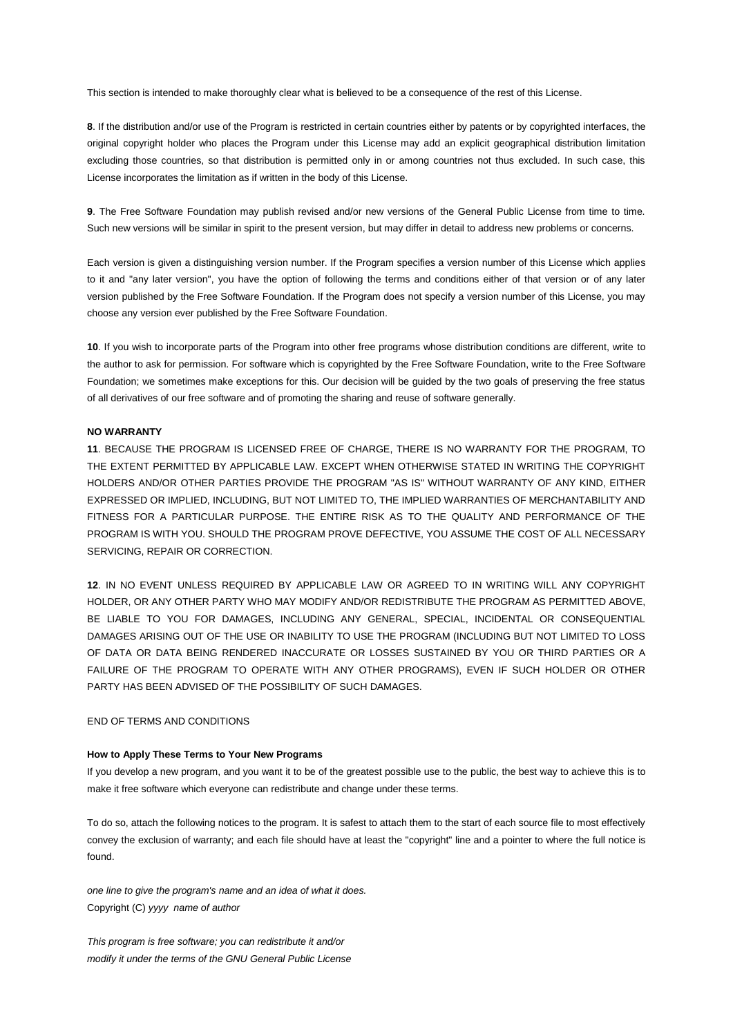This section is intended to make thoroughly clear what is believed to be a consequence of the rest of this License.

**8**. If the distribution and/or use of the Program is restricted in certain countries either by patents or by copyrighted interfaces, the original copyright holder who places the Program under this License may add an explicit geographical distribution limitation excluding those countries, so that distribution is permitted only in or among countries not thus excluded. In such case, this License incorporates the limitation as if written in the body of this License.

**9**. The Free Software Foundation may publish revised and/or new versions of the General Public License from time to time. Such new versions will be similar in spirit to the present version, but may differ in detail to address new problems or concerns.

Each version is given a distinguishing version number. If the Program specifies a version number of this License which applies to it and "any later version", you have the option of following the terms and conditions either of that version or of any later version published by the Free Software Foundation. If the Program does not specify a version number of this License, you may choose any version ever published by the Free Software Foundation.

**10**. If you wish to incorporate parts of the Program into other free programs whose distribution conditions are different, write to the author to ask for permission. For software which is copyrighted by the Free Software Foundation, write to the Free Software Foundation; we sometimes make exceptions for this. Our decision will be guided by the two goals of preserving the free status of all derivatives of our free software and of promoting the sharing and reuse of software generally.

# **NO WARRANTY**

**11**. BECAUSE THE PROGRAM IS LICENSED FREE OF CHARGE, THERE IS NO WARRANTY FOR THE PROGRAM, TO THE EXTENT PERMITTED BY APPLICABLE LAW. EXCEPT WHEN OTHERWISE STATED IN WRITING THE COPYRIGHT HOLDERS AND/OR OTHER PARTIES PROVIDE THE PROGRAM "AS IS" WITHOUT WARRANTY OF ANY KIND, EITHER EXPRESSED OR IMPLIED, INCLUDING, BUT NOT LIMITED TO, THE IMPLIED WARRANTIES OF MERCHANTABILITY AND FITNESS FOR A PARTICULAR PURPOSE. THE ENTIRE RISK AS TO THE QUALITY AND PERFORMANCE OF THE PROGRAM IS WITH YOU. SHOULD THE PROGRAM PROVE DEFECTIVE, YOU ASSUME THE COST OF ALL NECESSARY SERVICING, REPAIR OR CORRECTION.

**12**. IN NO EVENT UNLESS REQUIRED BY APPLICABLE LAW OR AGREED TO IN WRITING WILL ANY COPYRIGHT HOLDER, OR ANY OTHER PARTY WHO MAY MODIFY AND/OR REDISTRIBUTE THE PROGRAM AS PERMITTED ABOVE, BE LIABLE TO YOU FOR DAMAGES, INCLUDING ANY GENERAL, SPECIAL, INCIDENTAL OR CONSEQUENTIAL DAMAGES ARISING OUT OF THE USE OR INABILITY TO USE THE PROGRAM (INCLUDING BUT NOT LIMITED TO LOSS OF DATA OR DATA BEING RENDERED INACCURATE OR LOSSES SUSTAINED BY YOU OR THIRD PARTIES OR A FAILURE OF THE PROGRAM TO OPERATE WITH ANY OTHER PROGRAMS), EVEN IF SUCH HOLDER OR OTHER PARTY HAS BEEN ADVISED OF THE POSSIBILITY OF SUCH DAMAGES.

# END OF TERMS AND CONDITIONS

## **How to Apply These Terms to Your New Programs**

If you develop a new program, and you want it to be of the greatest possible use to the public, the best way to achieve this is to make it free software which everyone can redistribute and change under these terms.

To do so, attach the following notices to the program. It is safest to attach them to the start of each source file to most effectively convey the exclusion of warranty; and each file should have at least the "copyright" line and a pointer to where the full notice is found.

*one line to give the program's name and an idea of what it does.* Copyright (C) *yyyy name of author*

*This program is free software; you can redistribute it and/or modify it under the terms of the GNU General Public License*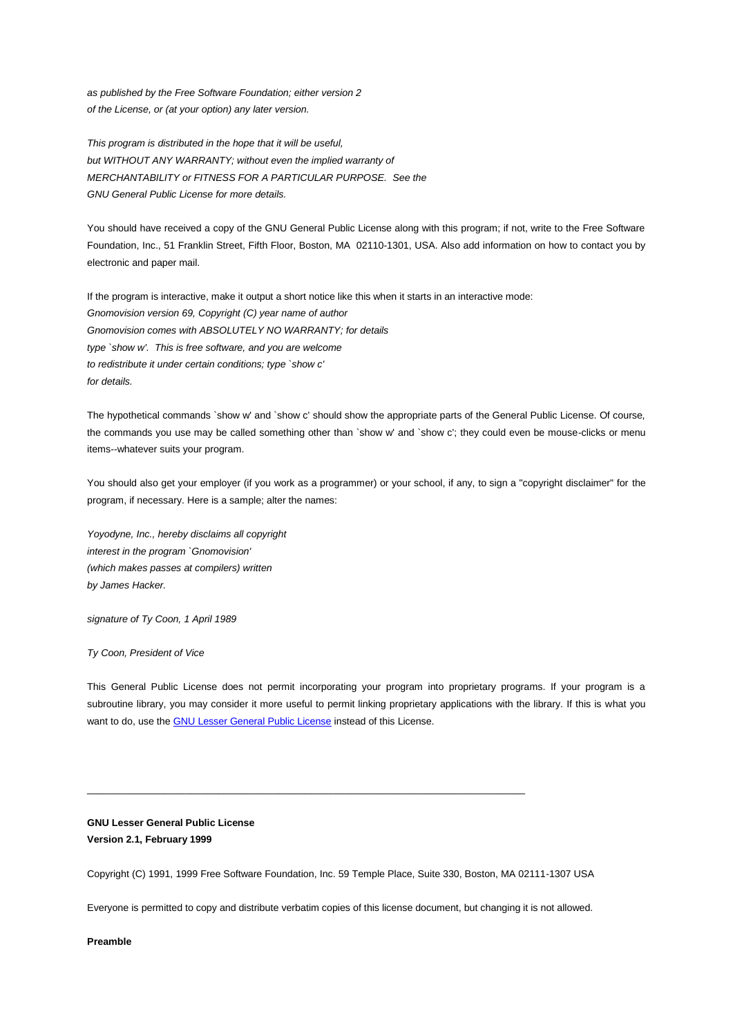*as published by the Free Software Foundation; either version 2 of the License, or (at your option) any later version.*

*This program is distributed in the hope that it will be useful, but WITHOUT ANY WARRANTY; without even the implied warranty of MERCHANTABILITY or FITNESS FOR A PARTICULAR PURPOSE. See the GNU General Public License for more details.*

You should have received a copy of the GNU General Public License along with this program; if not, write to the Free Software Foundation, Inc., 51 Franklin Street, Fifth Floor, Boston, MA 02110-1301, USA. Also add information on how to contact you by electronic and paper mail.

If the program is interactive, make it output a short notice like this when it starts in an interactive mode: *Gnomovision version 69, Copyright (C) year name of author Gnomovision comes with ABSOLUTELY NO WARRANTY; for details type `show w'. This is free software, and you are welcome to redistribute it under certain conditions; type `show c' for details.*

The hypothetical commands `show w' and `show c' should show the appropriate parts of the General Public License. Of course, the commands you use may be called something other than `show w' and `show c'; they could even be mouse-clicks or menu items--whatever suits your program.

You should also get your employer (if you work as a programmer) or your school, if any, to sign a "copyright disclaimer" for the program, if necessary. Here is a sample; alter the names:

*Yoyodyne, Inc., hereby disclaims all copyright interest in the program `Gnomovision' (which makes passes at compilers) written by James Hacker.*

*signature of Ty Coon, 1 April 1989*

*Ty Coon, President of Vice*

This General Public License does not permit incorporating your program into proprietary programs. If your program is a subroutine library, you may consider it more useful to permit linking proprietary applications with the library. If this is what you want to do, use the GNU Lesser General Public License instead of this License.

# **GNU Lesser General Public License Version 2.1, February 1999**

Copyright (C) 1991, 1999 Free Software Foundation, Inc. 59 Temple Place, Suite 330, Boston, MA 02111-1307 USA

\_\_\_\_\_\_\_\_\_\_\_\_\_\_\_\_\_\_\_\_\_\_\_\_\_\_\_\_\_\_\_\_\_\_\_\_\_\_\_\_\_\_\_\_\_\_\_\_\_\_\_\_\_\_\_\_\_\_\_\_\_\_\_\_\_\_\_\_\_\_\_\_\_\_\_\_\_\_\_\_

Everyone is permitted to copy and distribute verbatim copies of this license document, but changing it is not allowed.

**Preamble**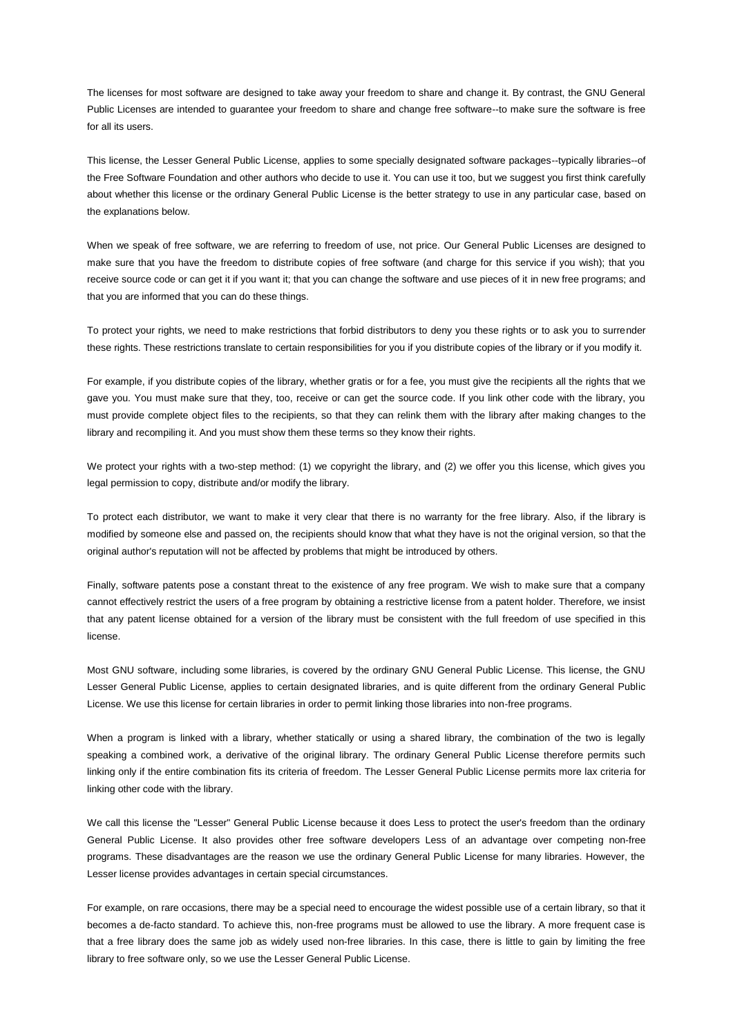The licenses for most software are designed to take away your freedom to share and change it. By contrast, the GNU General Public Licenses are intended to guarantee your freedom to share and change free software--to make sure the software is free for all its users.

This license, the Lesser General Public License, applies to some specially designated software packages--typically libraries--of the Free Software Foundation and other authors who decide to use it. You can use it too, but we suggest you first think carefully about whether this license or the ordinary General Public License is the better strategy to use in any particular case, based on the explanations below.

When we speak of free software, we are referring to freedom of use, not price. Our General Public Licenses are designed to make sure that you have the freedom to distribute copies of free software (and charge for this service if you wish); that you receive source code or can get it if you want it; that you can change the software and use pieces of it in new free programs; and that you are informed that you can do these things.

To protect your rights, we need to make restrictions that forbid distributors to deny you these rights or to ask you to surrender these rights. These restrictions translate to certain responsibilities for you if you distribute copies of the library or if you modify it.

For example, if you distribute copies of the library, whether gratis or for a fee, you must give the recipients all the rights that we gave you. You must make sure that they, too, receive or can get the source code. If you link other code with the library, you must provide complete object files to the recipients, so that they can relink them with the library after making changes to the library and recompiling it. And you must show them these terms so they know their rights.

We protect your rights with a two-step method: (1) we copyright the library, and (2) we offer you this license, which gives you legal permission to copy, distribute and/or modify the library.

To protect each distributor, we want to make it very clear that there is no warranty for the free library. Also, if the library is modified by someone else and passed on, the recipients should know that what they have is not the original version, so that the original author's reputation will not be affected by problems that might be introduced by others.

Finally, software patents pose a constant threat to the existence of any free program. We wish to make sure that a company cannot effectively restrict the users of a free program by obtaining a restrictive license from a patent holder. Therefore, we insist that any patent license obtained for a version of the library must be consistent with the full freedom of use specified in this license.

Most GNU software, including some libraries, is covered by the ordinary GNU General Public License. This license, the GNU Lesser General Public License, applies to certain designated libraries, and is quite different from the ordinary General Public License. We use this license for certain libraries in order to permit linking those libraries into non-free programs.

When a program is linked with a library, whether statically or using a shared library, the combination of the two is legally speaking a combined work, a derivative of the original library. The ordinary General Public License therefore permits such linking only if the entire combination fits its criteria of freedom. The Lesser General Public License permits more lax criteria for linking other code with the library.

We call this license the "Lesser" General Public License because it does Less to protect the user's freedom than the ordinary General Public License. It also provides other free software developers Less of an advantage over competing non-free programs. These disadvantages are the reason we use the ordinary General Public License for many libraries. However, the Lesser license provides advantages in certain special circumstances.

For example, on rare occasions, there may be a special need to encourage the widest possible use of a certain library, so that it becomes a de-facto standard. To achieve this, non-free programs must be allowed to use the library. A more frequent case is that a free library does the same job as widely used non-free libraries. In this case, there is little to gain by limiting the free library to free software only, so we use the Lesser General Public License.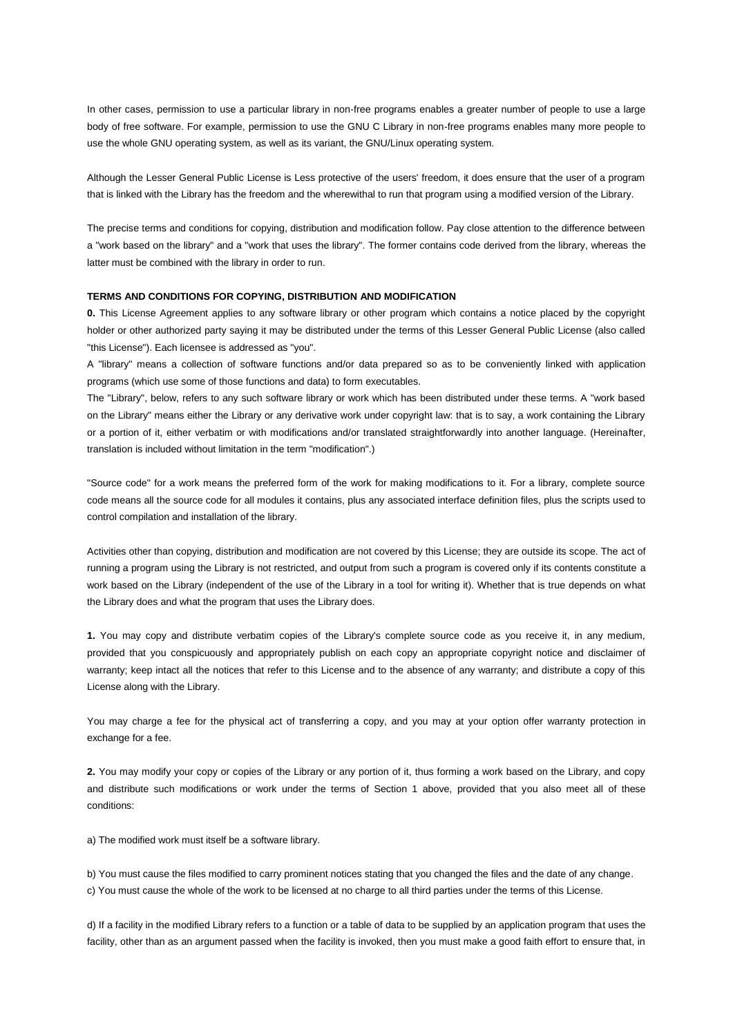In other cases, permission to use a particular library in non-free programs enables a greater number of people to use a large body of free software. For example, permission to use the GNU C Library in non-free programs enables many more people to use the whole GNU operating system, as well as its variant, the GNU/Linux operating system.

Although the Lesser General Public License is Less protective of the users' freedom, it does ensure that the user of a program that is linked with the Library has the freedom and the wherewithal to run that program using a modified version of the Library.

The precise terms and conditions for copying, distribution and modification follow. Pay close attention to the difference between a "work based on the library" and a "work that uses the library". The former contains code derived from the library, whereas the latter must be combined with the library in order to run.

### **TERMS AND CONDITIONS FOR COPYING, DISTRIBUTION AND MODIFICATION**

**0.** This License Agreement applies to any software library or other program which contains a notice placed by the copyright holder or other authorized party saying it may be distributed under the terms of this Lesser General Public License (also called "this License"). Each licensee is addressed as "you".

A "library" means a collection of software functions and/or data prepared so as to be conveniently linked with application programs (which use some of those functions and data) to form executables.

The "Library", below, refers to any such software library or work which has been distributed under these terms. A "work based on the Library" means either the Library or any derivative work under copyright law: that is to say, a work containing the Library or a portion of it, either verbatim or with modifications and/or translated straightforwardly into another language. (Hereinafter, translation is included without limitation in the term "modification".)

"Source code" for a work means the preferred form of the work for making modifications to it. For a library, complete source code means all the source code for all modules it contains, plus any associated interface definition files, plus the scripts used to control compilation and installation of the library.

Activities other than copying, distribution and modification are not covered by this License; they are outside its scope. The act of running a program using the Library is not restricted, and output from such a program is covered only if its contents constitute a work based on the Library (independent of the use of the Library in a tool for writing it). Whether that is true depends on what the Library does and what the program that uses the Library does.

**1.** You may copy and distribute verbatim copies of the Library's complete source code as you receive it, in any medium, provided that you conspicuously and appropriately publish on each copy an appropriate copyright notice and disclaimer of warranty; keep intact all the notices that refer to this License and to the absence of any warranty; and distribute a copy of this License along with the Library.

You may charge a fee for the physical act of transferring a copy, and you may at your option offer warranty protection in exchange for a fee.

**2.** You may modify your copy or copies of the Library or any portion of it, thus forming a work based on the Library, and copy and distribute such modifications or work under the terms of Section 1 above, provided that you also meet all of these conditions:

a) The modified work must itself be a software library.

b) You must cause the files modified to carry prominent notices stating that you changed the files and the date of any change. c) You must cause the whole of the work to be licensed at no charge to all third parties under the terms of this License.

d) If a facility in the modified Library refers to a function or a table of data to be supplied by an application program that uses the facility, other than as an argument passed when the facility is invoked, then you must make a good faith effort to ensure that, in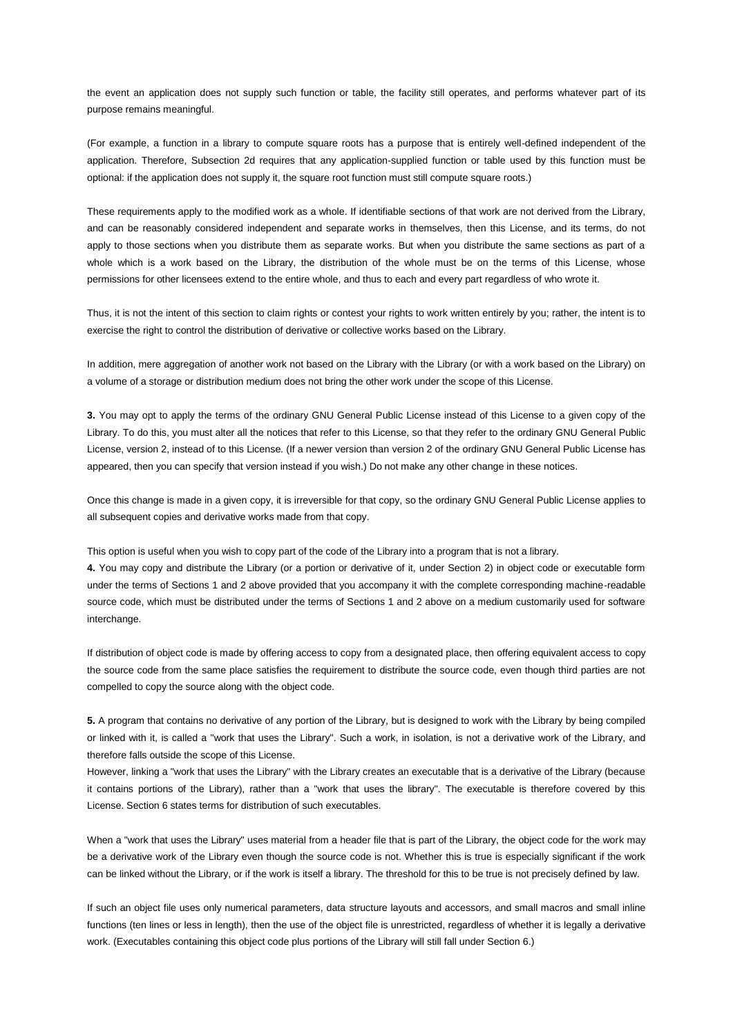the event an application does not supply such function or table, the facility still operates, and performs whatever part of its purpose remains meaningful.

(For example, a function in a library to compute square roots has a purpose that is entirely well-defined independent of the application. Therefore, Subsection 2d requires that any application-supplied function or table used by this function must be optional: if the application does not supply it, the square root function must still compute square roots.)

These requirements apply to the modified work as a whole. If identifiable sections of that work are not derived from the Library, and can be reasonably considered independent and separate works in themselves, then this License, and its terms, do not apply to those sections when you distribute them as separate works. But when you distribute the same sections as part of a whole which is a work based on the Library, the distribution of the whole must be on the terms of this License, whose permissions for other licensees extend to the entire whole, and thus to each and every part regardless of who wrote it.

Thus, it is not the intent of this section to claim rights or contest your rights to work written entirely by you; rather, the intent is to exercise the right to control the distribution of derivative or collective works based on the Library.

In addition, mere aggregation of another work not based on the Library with the Library (or with a work based on the Library) on a volume of a storage or distribution medium does not bring the other work under the scope of this License.

**3.** You may opt to apply the terms of the ordinary GNU General Public License instead of this License to a given copy of the Library. To do this, you must alter all the notices that refer to this License, so that they refer to the ordinary GNU General Public License, version 2, instead of to this License. (If a newer version than version 2 of the ordinary GNU General Public License has appeared, then you can specify that version instead if you wish.) Do not make any other change in these notices.

Once this change is made in a given copy, it is irreversible for that copy, so the ordinary GNU General Public License applies to all subsequent copies and derivative works made from that copy.

This option is useful when you wish to copy part of the code of the Library into a program that is not a library.

**4.** You may copy and distribute the Library (or a portion or derivative of it, under Section 2) in object code or executable form under the terms of Sections 1 and 2 above provided that you accompany it with the complete corresponding machine-readable source code, which must be distributed under the terms of Sections 1 and 2 above on a medium customarily used for software interchange.

If distribution of object code is made by offering access to copy from a designated place, then offering equivalent access to copy the source code from the same place satisfies the requirement to distribute the source code, even though third parties are not compelled to copy the source along with the object code.

**5.** A program that contains no derivative of any portion of the Library, but is designed to work with the Library by being compiled or linked with it, is called a "work that uses the Library". Such a work, in isolation, is not a derivative work of the Library, and therefore falls outside the scope of this License.

However, linking a "work that uses the Library" with the Library creates an executable that is a derivative of the Library (because it contains portions of the Library), rather than a "work that uses the library". The executable is therefore covered by this License. Section 6 states terms for distribution of such executables.

When a "work that uses the Library" uses material from a header file that is part of the Library, the object code for the work may be a derivative work of the Library even though the source code is not. Whether this is true is especially significant if the work can be linked without the Library, or if the work is itself a library. The threshold for this to be true is not precisely defined by law.

If such an object file uses only numerical parameters, data structure layouts and accessors, and small macros and small inline functions (ten lines or less in length), then the use of the object file is unrestricted, regardless of whether it is legally a derivative work. (Executables containing this object code plus portions of the Library will still fall under Section 6.)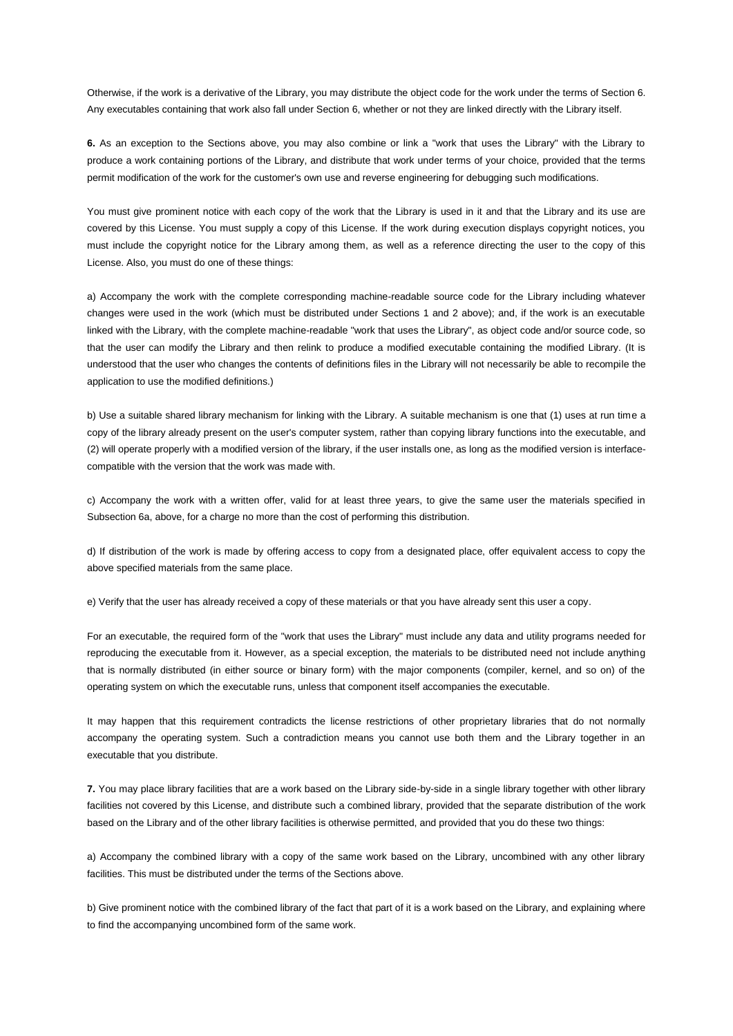Otherwise, if the work is a derivative of the Library, you may distribute the object code for the work under the terms of Section 6. Any executables containing that work also fall under Section 6, whether or not they are linked directly with the Library itself.

**6.** As an exception to the Sections above, you may also combine or link a "work that uses the Library" with the Library to produce a work containing portions of the Library, and distribute that work under terms of your choice, provided that the terms permit modification of the work for the customer's own use and reverse engineering for debugging such modifications.

You must give prominent notice with each copy of the work that the Library is used in it and that the Library and its use are covered by this License. You must supply a copy of this License. If the work during execution displays copyright notices, you must include the copyright notice for the Library among them, as well as a reference directing the user to the copy of this License. Also, you must do one of these things:

a) Accompany the work with the complete corresponding machine-readable source code for the Library including whatever changes were used in the work (which must be distributed under Sections 1 and 2 above); and, if the work is an executable linked with the Library, with the complete machine-readable "work that uses the Library", as object code and/or source code, so that the user can modify the Library and then relink to produce a modified executable containing the modified Library. (It is understood that the user who changes the contents of definitions files in the Library will not necessarily be able to recompile the application to use the modified definitions.)

b) Use a suitable shared library mechanism for linking with the Library. A suitable mechanism is one that (1) uses at run time a copy of the library already present on the user's computer system, rather than copying library functions into the executable, and (2) will operate properly with a modified version of the library, if the user installs one, as long as the modified version is interfacecompatible with the version that the work was made with.

c) Accompany the work with a written offer, valid for at least three years, to give the same user the materials specified in Subsection 6a, above, for a charge no more than the cost of performing this distribution.

d) If distribution of the work is made by offering access to copy from a designated place, offer equivalent access to copy the above specified materials from the same place.

e) Verify that the user has already received a copy of these materials or that you have already sent this user a copy.

For an executable, the required form of the "work that uses the Library" must include any data and utility programs needed for reproducing the executable from it. However, as a special exception, the materials to be distributed need not include anything that is normally distributed (in either source or binary form) with the major components (compiler, kernel, and so on) of the operating system on which the executable runs, unless that component itself accompanies the executable.

It may happen that this requirement contradicts the license restrictions of other proprietary libraries that do not normally accompany the operating system. Such a contradiction means you cannot use both them and the Library together in an executable that you distribute.

**7.** You may place library facilities that are a work based on the Library side-by-side in a single library together with other library facilities not covered by this License, and distribute such a combined library, provided that the separate distribution of the work based on the Library and of the other library facilities is otherwise permitted, and provided that you do these two things:

a) Accompany the combined library with a copy of the same work based on the Library, uncombined with any other library facilities. This must be distributed under the terms of the Sections above.

b) Give prominent notice with the combined library of the fact that part of it is a work based on the Library, and explaining where to find the accompanying uncombined form of the same work.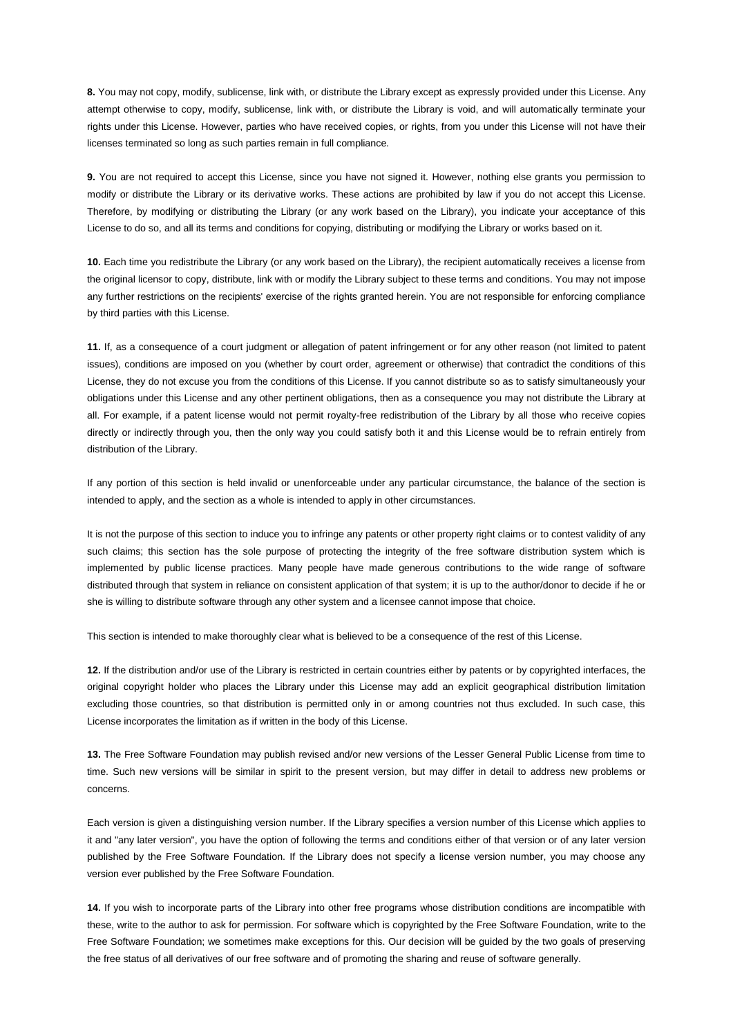**8.** You may not copy, modify, sublicense, link with, or distribute the Library except as expressly provided under this License. Any attempt otherwise to copy, modify, sublicense, link with, or distribute the Library is void, and will automatically terminate your rights under this License. However, parties who have received copies, or rights, from you under this License will not have their licenses terminated so long as such parties remain in full compliance.

**9.** You are not required to accept this License, since you have not signed it. However, nothing else grants you permission to modify or distribute the Library or its derivative works. These actions are prohibited by law if you do not accept this License. Therefore, by modifying or distributing the Library (or any work based on the Library), you indicate your acceptance of this License to do so, and all its terms and conditions for copying, distributing or modifying the Library or works based on it.

**10.** Each time you redistribute the Library (or any work based on the Library), the recipient automatically receives a license from the original licensor to copy, distribute, link with or modify the Library subject to these terms and conditions. You may not impose any further restrictions on the recipients' exercise of the rights granted herein. You are not responsible for enforcing compliance by third parties with this License.

**11.** If, as a consequence of a court judgment or allegation of patent infringement or for any other reason (not limited to patent issues), conditions are imposed on you (whether by court order, agreement or otherwise) that contradict the conditions of this License, they do not excuse you from the conditions of this License. If you cannot distribute so as to satisfy simultaneously your obligations under this License and any other pertinent obligations, then as a consequence you may not distribute the Library at all. For example, if a patent license would not permit royalty-free redistribution of the Library by all those who receive copies directly or indirectly through you, then the only way you could satisfy both it and this License would be to refrain entirely from distribution of the Library.

If any portion of this section is held invalid or unenforceable under any particular circumstance, the balance of the section is intended to apply, and the section as a whole is intended to apply in other circumstances.

It is not the purpose of this section to induce you to infringe any patents or other property right claims or to contest validity of any such claims; this section has the sole purpose of protecting the integrity of the free software distribution system which is implemented by public license practices. Many people have made generous contributions to the wide range of software distributed through that system in reliance on consistent application of that system; it is up to the author/donor to decide if he or she is willing to distribute software through any other system and a licensee cannot impose that choice.

This section is intended to make thoroughly clear what is believed to be a consequence of the rest of this License.

**12.** If the distribution and/or use of the Library is restricted in certain countries either by patents or by copyrighted interfaces, the original copyright holder who places the Library under this License may add an explicit geographical distribution limitation excluding those countries, so that distribution is permitted only in or among countries not thus excluded. In such case, this License incorporates the limitation as if written in the body of this License.

**13.** The Free Software Foundation may publish revised and/or new versions of the Lesser General Public License from time to time. Such new versions will be similar in spirit to the present version, but may differ in detail to address new problems or concerns.

Each version is given a distinguishing version number. If the Library specifies a version number of this License which applies to it and "any later version", you have the option of following the terms and conditions either of that version or of any later version published by the Free Software Foundation. If the Library does not specify a license version number, you may choose any version ever published by the Free Software Foundation.

**14.** If you wish to incorporate parts of the Library into other free programs whose distribution conditions are incompatible with these, write to the author to ask for permission. For software which is copyrighted by the Free Software Foundation, write to the Free Software Foundation; we sometimes make exceptions for this. Our decision will be guided by the two goals of preserving the free status of all derivatives of our free software and of promoting the sharing and reuse of software generally.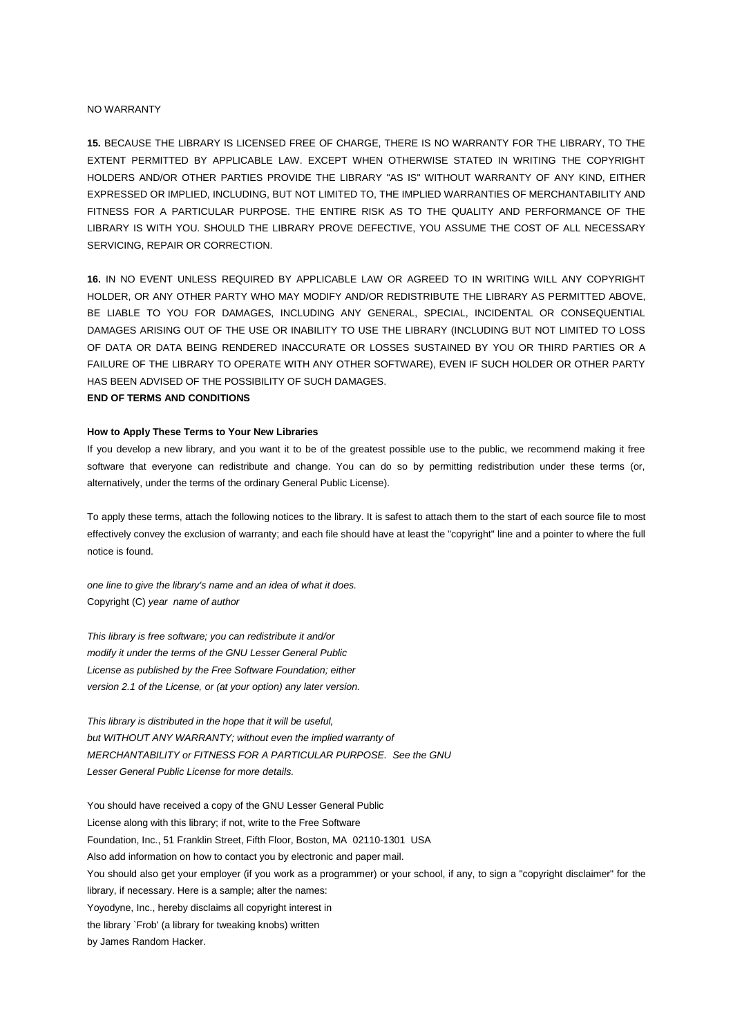#### NO WARRANTY

**15.** BECAUSE THE LIBRARY IS LICENSED FREE OF CHARGE, THERE IS NO WARRANTY FOR THE LIBRARY, TO THE EXTENT PERMITTED BY APPLICABLE LAW. EXCEPT WHEN OTHERWISE STATED IN WRITING THE COPYRIGHT HOLDERS AND/OR OTHER PARTIES PROVIDE THE LIBRARY "AS IS" WITHOUT WARRANTY OF ANY KIND, EITHER EXPRESSED OR IMPLIED, INCLUDING, BUT NOT LIMITED TO, THE IMPLIED WARRANTIES OF MERCHANTABILITY AND FITNESS FOR A PARTICULAR PURPOSE. THE ENTIRE RISK AS TO THE QUALITY AND PERFORMANCE OF THE LIBRARY IS WITH YOU. SHOULD THE LIBRARY PROVE DEFECTIVE, YOU ASSUME THE COST OF ALL NECESSARY SERVICING, REPAIR OR CORRECTION.

**16.** IN NO EVENT UNLESS REQUIRED BY APPLICABLE LAW OR AGREED TO IN WRITING WILL ANY COPYRIGHT HOLDER, OR ANY OTHER PARTY WHO MAY MODIFY AND/OR REDISTRIBUTE THE LIBRARY AS PERMITTED ABOVE, BE LIABLE TO YOU FOR DAMAGES, INCLUDING ANY GENERAL, SPECIAL, INCIDENTAL OR CONSEQUENTIAL DAMAGES ARISING OUT OF THE USE OR INABILITY TO USE THE LIBRARY (INCLUDING BUT NOT LIMITED TO LOSS OF DATA OR DATA BEING RENDERED INACCURATE OR LOSSES SUSTAINED BY YOU OR THIRD PARTIES OR A FAILURE OF THE LIBRARY TO OPERATE WITH ANY OTHER SOFTWARE), EVEN IF SUCH HOLDER OR OTHER PARTY HAS BEEN ADVISED OF THE POSSIBILITY OF SUCH DAMAGES.

# **END OF TERMS AND CONDITIONS**

### **How to Apply These Terms to Your New Libraries**

If you develop a new library, and you want it to be of the greatest possible use to the public, we recommend making it free software that everyone can redistribute and change. You can do so by permitting redistribution under these terms (or, alternatively, under the terms of the ordinary General Public License).

To apply these terms, attach the following notices to the library. It is safest to attach them to the start of each source file to most effectively convey the exclusion of warranty; and each file should have at least the "copyright" line and a pointer to where the full notice is found.

*one line to give the library's name and an idea of what it does.* Copyright (C) *year name of author*

*This library is free software; you can redistribute it and/or modify it under the terms of the GNU Lesser General Public License as published by the Free Software Foundation; either version 2.1 of the License, or (at your option) any later version.*

*This library is distributed in the hope that it will be useful, but WITHOUT ANY WARRANTY; without even the implied warranty of MERCHANTABILITY or FITNESS FOR A PARTICULAR PURPOSE. See the GNU Lesser General Public License for more details.*

You should have received a copy of the GNU Lesser General Public License along with this library; if not, write to the Free Software Foundation, Inc., 51 Franklin Street, Fifth Floor, Boston, MA 02110-1301 USA Also add information on how to contact you by electronic and paper mail. You should also get your employer (if you work as a programmer) or your school, if any, to sign a "copyright disclaimer" for the library, if necessary. Here is a sample; alter the names: Yoyodyne, Inc., hereby disclaims all copyright interest in the library `Frob' (a library for tweaking knobs) written by James Random Hacker.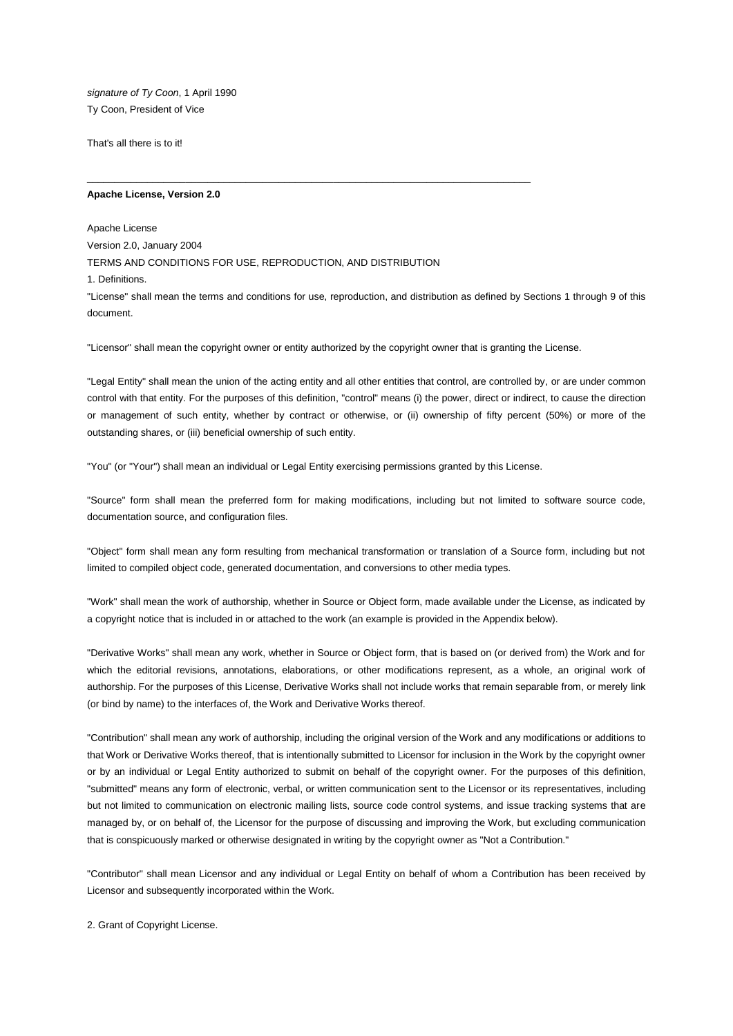*signature of Ty Coon*, 1 April 1990 Ty Coon, President of Vice

That's all there is to it!

### **Apache License, Version 2.0**

Apache License Version 2.0, January 2004 TERMS AND CONDITIONS FOR USE, REPRODUCTION, AND DISTRIBUTION 1. Definitions. "License" shall mean the terms and conditions for use, reproduction, and distribution as defined by Sections 1 through 9 of this document.

"Licensor" shall mean the copyright owner or entity authorized by the copyright owner that is granting the License.

\_\_\_\_\_\_\_\_\_\_\_\_\_\_\_\_\_\_\_\_\_\_\_\_\_\_\_\_\_\_\_\_\_\_\_\_\_\_\_\_\_\_\_\_\_\_\_\_\_\_\_\_\_\_\_\_\_\_\_\_\_\_\_\_\_\_\_\_\_\_\_\_\_\_\_\_\_\_\_\_\_

"Legal Entity" shall mean the union of the acting entity and all other entities that control, are controlled by, or are under common control with that entity. For the purposes of this definition, "control" means (i) the power, direct or indirect, to cause the direction or management of such entity, whether by contract or otherwise, or (ii) ownership of fifty percent (50%) or more of the outstanding shares, or (iii) beneficial ownership of such entity.

"You" (or "Your") shall mean an individual or Legal Entity exercising permissions granted by this License.

"Source" form shall mean the preferred form for making modifications, including but not limited to software source code, documentation source, and configuration files.

"Object" form shall mean any form resulting from mechanical transformation or translation of a Source form, including but not limited to compiled object code, generated documentation, and conversions to other media types.

"Work" shall mean the work of authorship, whether in Source or Object form, made available under the License, as indicated by a copyright notice that is included in or attached to the work (an example is provided in the Appendix below).

"Derivative Works" shall mean any work, whether in Source or Object form, that is based on (or derived from) the Work and for which the editorial revisions, annotations, elaborations, or other modifications represent, as a whole, an original work of authorship. For the purposes of this License, Derivative Works shall not include works that remain separable from, or merely link (or bind by name) to the interfaces of, the Work and Derivative Works thereof.

"Contribution" shall mean any work of authorship, including the original version of the Work and any modifications or additions to that Work or Derivative Works thereof, that is intentionally submitted to Licensor for inclusion in the Work by the copyright owner or by an individual or Legal Entity authorized to submit on behalf of the copyright owner. For the purposes of this definition, "submitted" means any form of electronic, verbal, or written communication sent to the Licensor or its representatives, including but not limited to communication on electronic mailing lists, source code control systems, and issue tracking systems that are managed by, or on behalf of, the Licensor for the purpose of discussing and improving the Work, but excluding communication that is conspicuously marked or otherwise designated in writing by the copyright owner as "Not a Contribution."

"Contributor" shall mean Licensor and any individual or Legal Entity on behalf of whom a Contribution has been received by Licensor and subsequently incorporated within the Work.

2. Grant of Copyright License.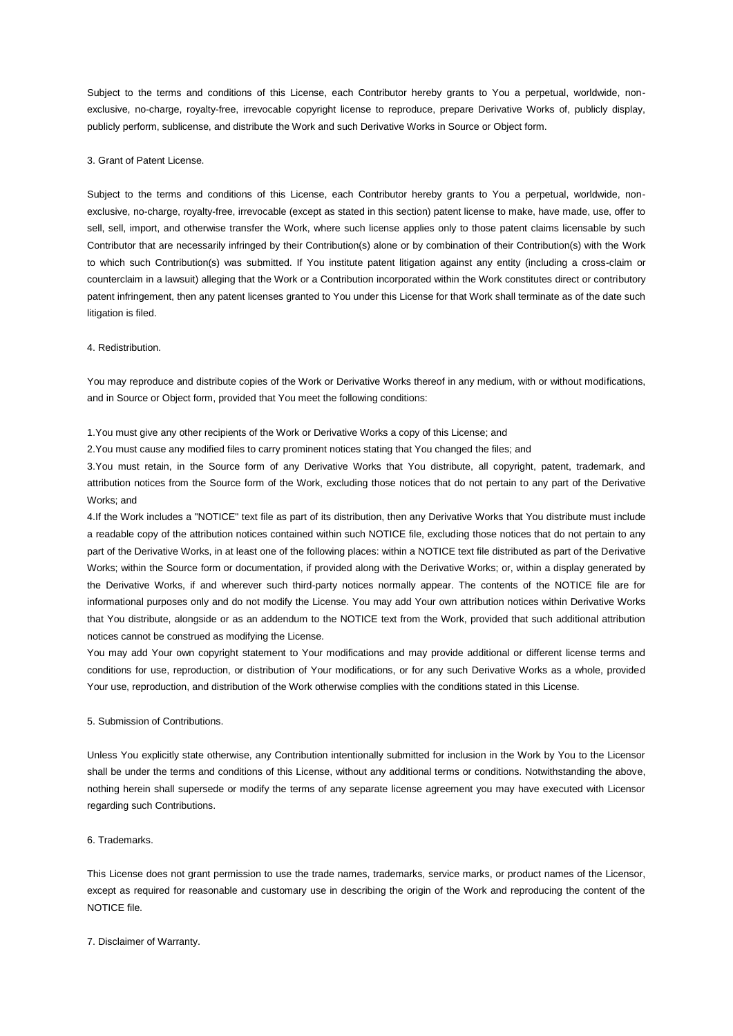Subject to the terms and conditions of this License, each Contributor hereby grants to You a perpetual, worldwide, nonexclusive, no-charge, royalty-free, irrevocable copyright license to reproduce, prepare Derivative Works of, publicly display, publicly perform, sublicense, and distribute the Work and such Derivative Works in Source or Object form.

## 3. Grant of Patent License.

Subject to the terms and conditions of this License, each Contributor hereby grants to You a perpetual, worldwide, nonexclusive, no-charge, royalty-free, irrevocable (except as stated in this section) patent license to make, have made, use, offer to sell, sell, import, and otherwise transfer the Work, where such license applies only to those patent claims licensable by such Contributor that are necessarily infringed by their Contribution(s) alone or by combination of their Contribution(s) with the Work to which such Contribution(s) was submitted. If You institute patent litigation against any entity (including a cross-claim or counterclaim in a lawsuit) alleging that the Work or a Contribution incorporated within the Work constitutes direct or contributory patent infringement, then any patent licenses granted to You under this License for that Work shall terminate as of the date such litigation is filed.

## 4. Redistribution.

You may reproduce and distribute copies of the Work or Derivative Works thereof in any medium, with or without modifications, and in Source or Object form, provided that You meet the following conditions:

1.You must give any other recipients of the Work or Derivative Works a copy of this License; and

2.You must cause any modified files to carry prominent notices stating that You changed the files; and

3.You must retain, in the Source form of any Derivative Works that You distribute, all copyright, patent, trademark, and attribution notices from the Source form of the Work, excluding those notices that do not pertain to any part of the Derivative Works; and

4.If the Work includes a "NOTICE" text file as part of its distribution, then any Derivative Works that You distribute must include a readable copy of the attribution notices contained within such NOTICE file, excluding those notices that do not pertain to any part of the Derivative Works, in at least one of the following places: within a NOTICE text file distributed as part of the Derivative Works; within the Source form or documentation, if provided along with the Derivative Works; or, within a display generated by the Derivative Works, if and wherever such third-party notices normally appear. The contents of the NOTICE file are for informational purposes only and do not modify the License. You may add Your own attribution notices within Derivative Works that You distribute, alongside or as an addendum to the NOTICE text from the Work, provided that such additional attribution notices cannot be construed as modifying the License.

You may add Your own copyright statement to Your modifications and may provide additional or different license terms and conditions for use, reproduction, or distribution of Your modifications, or for any such Derivative Works as a whole, provided Your use, reproduction, and distribution of the Work otherwise complies with the conditions stated in this License.

### 5. Submission of Contributions.

Unless You explicitly state otherwise, any Contribution intentionally submitted for inclusion in the Work by You to the Licensor shall be under the terms and conditions of this License, without any additional terms or conditions. Notwithstanding the above, nothing herein shall supersede or modify the terms of any separate license agreement you may have executed with Licensor regarding such Contributions.

## 6. Trademarks.

This License does not grant permission to use the trade names, trademarks, service marks, or product names of the Licensor, except as required for reasonable and customary use in describing the origin of the Work and reproducing the content of the NOTICE file.

7. Disclaimer of Warranty.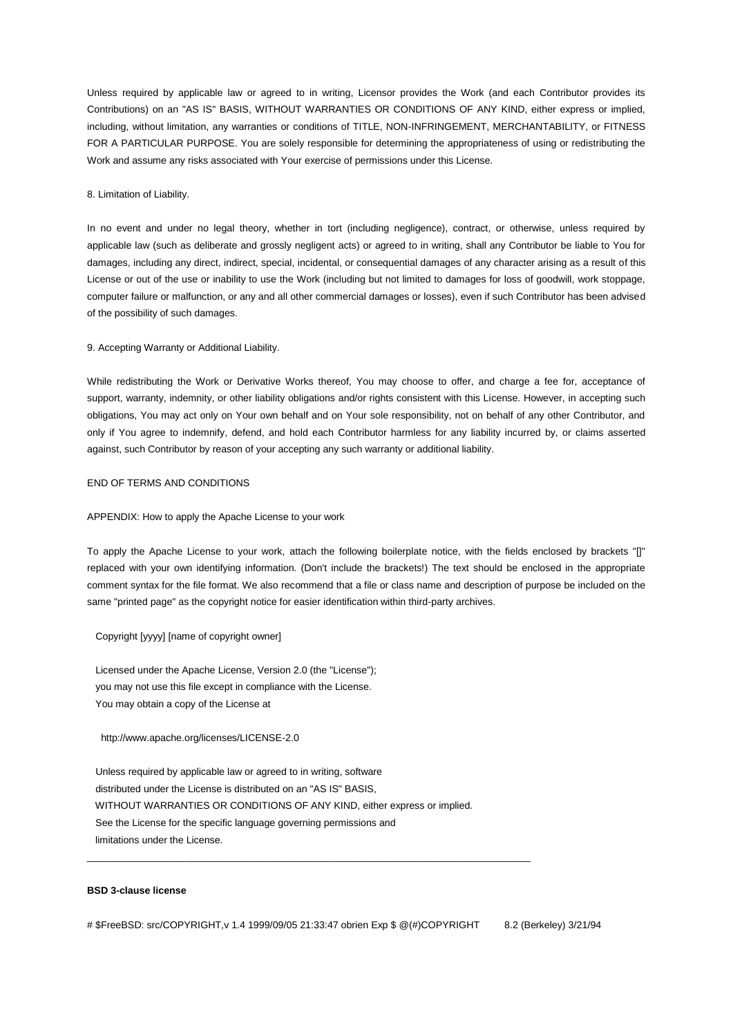Unless required by applicable law or agreed to in writing, Licensor provides the Work (and each Contributor provides its Contributions) on an "AS IS" BASIS, WITHOUT WARRANTIES OR CONDITIONS OF ANY KIND, either express or implied, including, without limitation, any warranties or conditions of TITLE, NON-INFRINGEMENT, MERCHANTABILITY, or FITNESS FOR A PARTICULAR PURPOSE. You are solely responsible for determining the appropriateness of using or redistributing the Work and assume any risks associated with Your exercise of permissions under this License.

#### 8. Limitation of Liability.

In no event and under no legal theory, whether in tort (including negligence), contract, or otherwise, unless required by applicable law (such as deliberate and grossly negligent acts) or agreed to in writing, shall any Contributor be liable to You for damages, including any direct, indirect, special, incidental, or consequential damages of any character arising as a result of this License or out of the use or inability to use the Work (including but not limited to damages for loss of goodwill, work stoppage, computer failure or malfunction, or any and all other commercial damages or losses), even if such Contributor has been advised of the possibility of such damages.

#### 9. Accepting Warranty or Additional Liability.

While redistributing the Work or Derivative Works thereof, You may choose to offer, and charge a fee for, acceptance of support, warranty, indemnity, or other liability obligations and/or rights consistent with this License. However, in accepting such obligations, You may act only on Your own behalf and on Your sole responsibility, not on behalf of any other Contributor, and only if You agree to indemnify, defend, and hold each Contributor harmless for any liability incurred by, or claims asserted against, such Contributor by reason of your accepting any such warranty or additional liability.

## END OF TERMS AND CONDITIONS

### APPENDIX: How to apply the Apache License to your work

To apply the Apache License to your work, attach the following boilerplate notice, with the fields enclosed by brackets "[]" replaced with your own identifying information. (Don't include the brackets!) The text should be enclosed in the appropriate comment syntax for the file format. We also recommend that a file or class name and description of purpose be included on the same "printed page" as the copyright notice for easier identification within third-party archives.

#### Copyright [yyyy] [name of copyright owner]

 Licensed under the Apache License, Version 2.0 (the "License"); you may not use this file except in compliance with the License. You may obtain a copy of the License at

#### http://www.apache.org/licenses/LICENSE-2.0

 Unless required by applicable law or agreed to in writing, software distributed under the License is distributed on an "AS IS" BASIS, WITHOUT WARRANTIES OR CONDITIONS OF ANY KIND, either express or implied. See the License for the specific language governing permissions and limitations under the License.

\_\_\_\_\_\_\_\_\_\_\_\_\_\_\_\_\_\_\_\_\_\_\_\_\_\_\_\_\_\_\_\_\_\_\_\_\_\_\_\_\_\_\_\_\_\_\_\_\_\_\_\_\_\_\_\_\_\_\_\_\_\_\_\_\_\_\_\_\_\_\_\_\_\_\_\_\_\_\_\_\_

#### **BSD 3-clause license**

# \$FreeBSD: src/COPYRIGHT,v 1.4 1999/09/05 21:33:47 obrien Exp \$ @(#)COPYRIGHT 8.2 (Berkeley) 3/21/94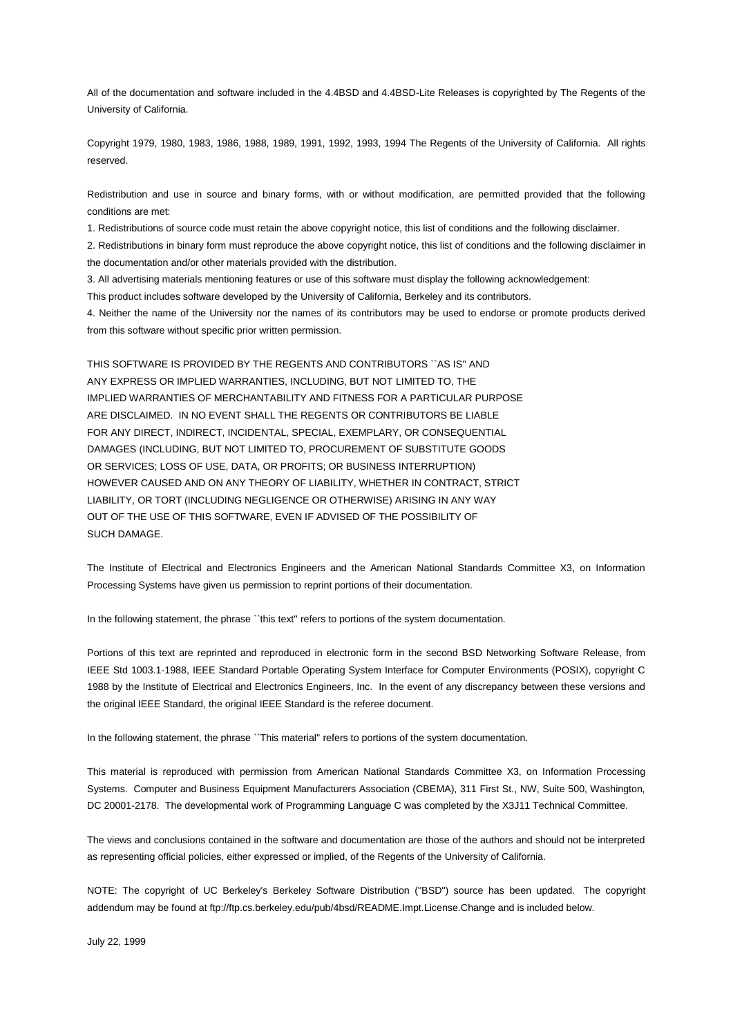All of the documentation and software included in the 4.4BSD and 4.4BSD-Lite Releases is copyrighted by The Regents of the University of California.

Copyright 1979, 1980, 1983, 1986, 1988, 1989, 1991, 1992, 1993, 1994 The Regents of the University of California. All rights reserved.

Redistribution and use in source and binary forms, with or without modification, are permitted provided that the following conditions are met:

1. Redistributions of source code must retain the above copyright notice, this list of conditions and the following disclaimer.

2. Redistributions in binary form must reproduce the above copyright notice, this list of conditions and the following disclaimer in the documentation and/or other materials provided with the distribution.

3. All advertising materials mentioning features or use of this software must display the following acknowledgement: This product includes software developed by the University of California, Berkeley and its contributors.

4. Neither the name of the University nor the names of its contributors may be used to endorse or promote products derived

from this software without specific prior written permission.

THIS SOFTWARE IS PROVIDED BY THE REGENTS AND CONTRIBUTORS ``AS IS'' AND ANY EXPRESS OR IMPLIED WARRANTIES, INCLUDING, BUT NOT LIMITED TO, THE IMPLIED WARRANTIES OF MERCHANTABILITY AND FITNESS FOR A PARTICULAR PURPOSE ARE DISCLAIMED. IN NO EVENT SHALL THE REGENTS OR CONTRIBUTORS BE LIABLE FOR ANY DIRECT, INDIRECT, INCIDENTAL, SPECIAL, EXEMPLARY, OR CONSEQUENTIAL DAMAGES (INCLUDING, BUT NOT LIMITED TO, PROCUREMENT OF SUBSTITUTE GOODS OR SERVICES; LOSS OF USE, DATA, OR PROFITS; OR BUSINESS INTERRUPTION) HOWEVER CAUSED AND ON ANY THEORY OF LIABILITY, WHETHER IN CONTRACT, STRICT LIABILITY, OR TORT (INCLUDING NEGLIGENCE OR OTHERWISE) ARISING IN ANY WAY OUT OF THE USE OF THIS SOFTWARE, EVEN IF ADVISED OF THE POSSIBILITY OF SUCH DAMAGE.

The Institute of Electrical and Electronics Engineers and the American National Standards Committee X3, on Information Processing Systems have given us permission to reprint portions of their documentation.

In the following statement, the phrase "this text" refers to portions of the system documentation.

Portions of this text are reprinted and reproduced in electronic form in the second BSD Networking Software Release, from IEEE Std 1003.1-1988, IEEE Standard Portable Operating System Interface for Computer Environments (POSIX), copyright C 1988 by the Institute of Electrical and Electronics Engineers, Inc. In the event of any discrepancy between these versions and the original IEEE Standard, the original IEEE Standard is the referee document.

In the following statement, the phrase ``This material" refers to portions of the system documentation.

This material is reproduced with permission from American National Standards Committee X3, on Information Processing Systems. Computer and Business Equipment Manufacturers Association (CBEMA), 311 First St., NW, Suite 500, Washington, DC 20001-2178. The developmental work of Programming Language C was completed by the X3J11 Technical Committee.

The views and conclusions contained in the software and documentation are those of the authors and should not be interpreted as representing official policies, either expressed or implied, of the Regents of the University of California.

NOTE: The copyright of UC Berkeley's Berkeley Software Distribution ("BSD") source has been updated. The copyright addendum may be found at ftp://ftp.cs.berkeley.edu/pub/4bsd/README.Impt.License.Change and is included below.

July 22, 1999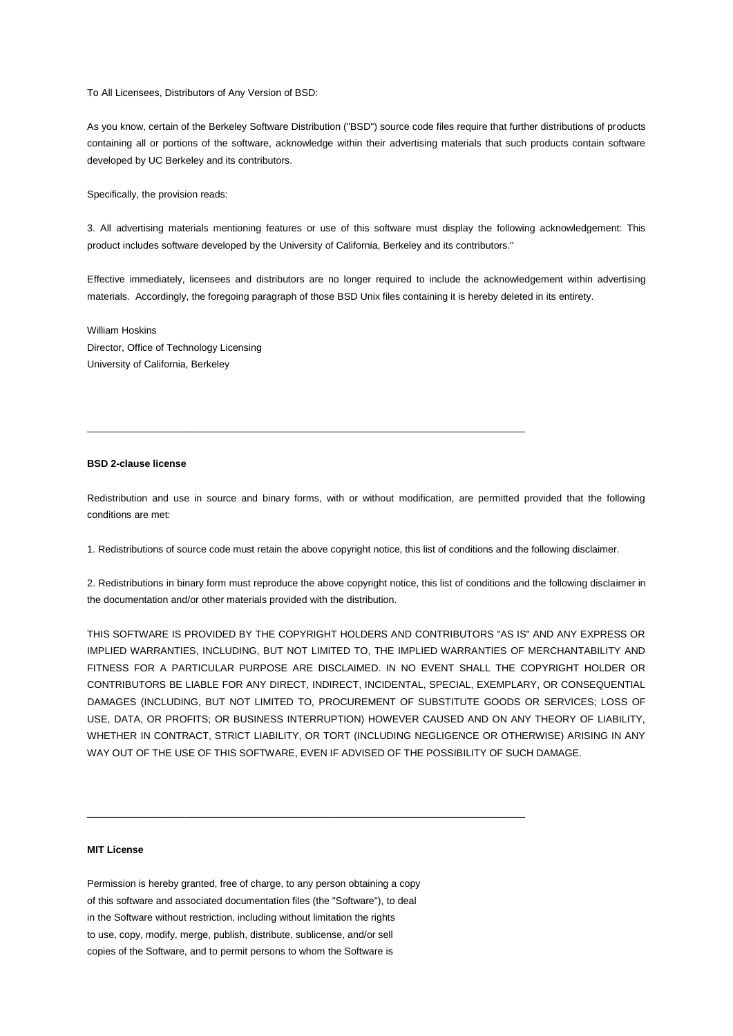To All Licensees, Distributors of Any Version of BSD:

As you know, certain of the Berkeley Software Distribution ("BSD") source code files require that further distributions of products containing all or portions of the software, acknowledge within their advertising materials that such products contain software developed by UC Berkeley and its contributors.

Specifically, the provision reads:

3. All advertising materials mentioning features or use of this software must display the following acknowledgement: This product includes software developed by the University of California, Berkeley and its contributors."

Effective immediately, licensees and distributors are no longer required to include the acknowledgement within advertising materials. Accordingly, the foregoing paragraph of those BSD Unix files containing it is hereby deleted in its entirety.

William Hoskins Director, Office of Technology Licensing University of California, Berkeley

# **BSD 2-clause license**

Redistribution and use in source and binary forms, with or without modification, are permitted provided that the following conditions are met:

1. Redistributions of source code must retain the above copyright notice, this list of conditions and the following disclaimer.

\_\_\_\_\_\_\_\_\_\_\_\_\_\_\_\_\_\_\_\_\_\_\_\_\_\_\_\_\_\_\_\_\_\_\_\_\_\_\_\_\_\_\_\_\_\_\_\_\_\_\_\_\_\_\_\_\_\_\_\_\_\_\_\_\_\_\_\_\_\_\_\_\_\_\_\_\_\_\_\_

2. Redistributions in binary form must reproduce the above copyright notice, this list of conditions and the following disclaimer in the documentation and/or other materials provided with the distribution.

THIS SOFTWARE IS PROVIDED BY THE COPYRIGHT HOLDERS AND CONTRIBUTORS "AS IS" AND ANY EXPRESS OR IMPLIED WARRANTIES, INCLUDING, BUT NOT LIMITED TO, THE IMPLIED WARRANTIES OF MERCHANTABILITY AND FITNESS FOR A PARTICULAR PURPOSE ARE DISCLAIMED. IN NO EVENT SHALL THE COPYRIGHT HOLDER OR CONTRIBUTORS BE LIABLE FOR ANY DIRECT, INDIRECT, INCIDENTAL, SPECIAL, EXEMPLARY, OR CONSEQUENTIAL DAMAGES (INCLUDING, BUT NOT LIMITED TO, PROCUREMENT OF SUBSTITUTE GOODS OR SERVICES; LOSS OF USE, DATA, OR PROFITS; OR BUSINESS INTERRUPTION) HOWEVER CAUSED AND ON ANY THEORY OF LIABILITY, WHETHER IN CONTRACT, STRICT LIABILITY, OR TORT (INCLUDING NEGLIGENCE OR OTHERWISE) ARISING IN ANY WAY OUT OF THE USE OF THIS SOFTWARE, EVEN IF ADVISED OF THE POSSIBILITY OF SUCH DAMAGE.

## **MIT License**

Permission is hereby granted, free of charge, to any person obtaining a copy of this software and associated documentation files (the "Software"), to deal in the Software without restriction, including without limitation the rights to use, copy, modify, merge, publish, distribute, sublicense, and/or sell copies of the Software, and to permit persons to whom the Software is

\_\_\_\_\_\_\_\_\_\_\_\_\_\_\_\_\_\_\_\_\_\_\_\_\_\_\_\_\_\_\_\_\_\_\_\_\_\_\_\_\_\_\_\_\_\_\_\_\_\_\_\_\_\_\_\_\_\_\_\_\_\_\_\_\_\_\_\_\_\_\_\_\_\_\_\_\_\_\_\_